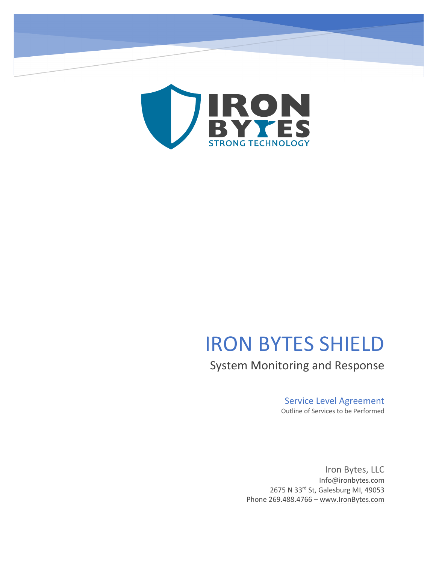

# IRON BYTES SHIELD

System Monitoring and Response

# Service Level Agreement

Outline of Services to be Performed

Iron Bytes, LLC Info@ironbytes.com 2675 N 33rd St, Galesburg MI, 49053 Phone 269.488.4766 – www.IronBytes.com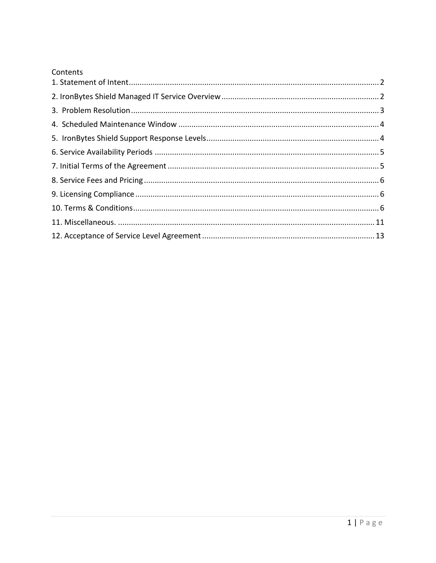|  | Contents |
|--|----------|
|  |          |

| Contents |  |
|----------|--|
|          |  |
|          |  |
|          |  |
|          |  |
|          |  |
|          |  |
|          |  |
|          |  |
|          |  |
|          |  |
|          |  |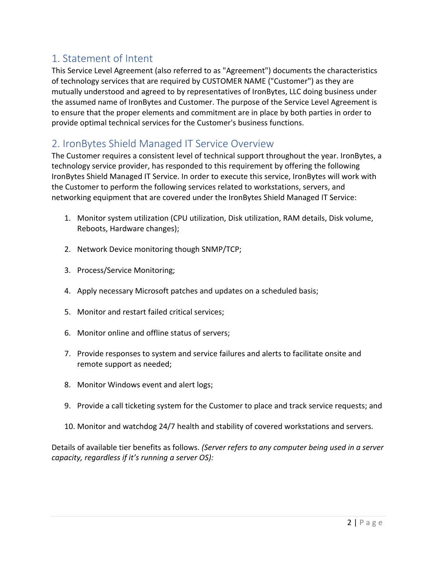# 1. Statement of Intent

This Service Level Agreement (also referred to as "Agreement") documents the characteristics of technology services that are required by CUSTOMER NAME ("Customer") as they are mutually understood and agreed to by representatives of IronBytes, LLC doing business under the assumed name of IronBytes and Customer. The purpose of the Service Level Agreement is to ensure that the proper elements and commitment are in place by both parties in order to provide optimal technical services for the Customer's business functions.

# 2. IronBytes Shield Managed IT Service Overview

The Customer requires a consistent level of technical support throughout the year. IronBytes, a technology service provider, has responded to this requirement by offering the following IronBytes Shield Managed IT Service. In order to execute this service, IronBytes will work with the Customer to perform the following services related to workstations, servers, and networking equipment that are covered under the IronBytes Shield Managed IT Service:

- 1. Monitor system utilization (CPU utilization, Disk utilization, RAM details, Disk volume, Reboots, Hardware changes);
- 2. Network Device monitoring though SNMP/TCP;
- 3. Process/Service Monitoring;
- 4. Apply necessary Microsoft patches and updates on a scheduled basis;
- 5. Monitor and restart failed critical services;
- 6. Monitor online and offline status of servers;
- 7. Provide responses to system and service failures and alerts to facilitate onsite and remote support as needed;
- 8. Monitor Windows event and alert logs;
- 9. Provide a call ticketing system for the Customer to place and track service requests; and
- 10. Monitor and watchdog 24/7 health and stability of covered workstations and servers.

Details of available tier benefits as follows. *(Server refers to any computer being used in a server capacity, regardless if it's running a server OS):*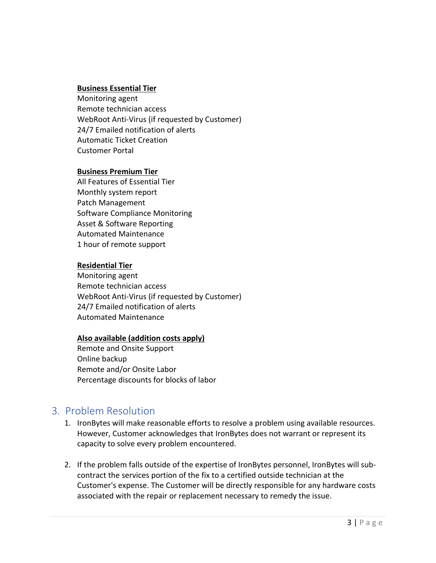#### **Business Essential Tier**

Monitoring agent Remote technician access WebRoot Anti-Virus (if requested by Customer) 24/7 Emailed notification of alerts Automatic Ticket Creation Customer Portal

#### **Business Premium Tier**

All Features of Essential Tier Monthly system report Patch Management Software Compliance Monitoring Asset & Software Reporting Automated Maintenance 1 hour of remote support

#### **Residential Tier**

Monitoring agent Remote technician access WebRoot Anti-Virus (if requested by Customer) 24/7 Emailed notification of alerts Automated Maintenance

#### **Also available (addition costs apply)**

Remote and Onsite Support Online backup Remote and/or Onsite Labor Percentage discounts for blocks of labor

#### 3. Problem Resolution

- 1. IronBytes will make reasonable efforts to resolve a problem using available resources. However, Customer acknowledges that IronBytes does not warrant or represent its capacity to solve every problem encountered.
- 2. If the problem falls outside of the expertise of IronBytes personnel, IronBytes will subcontract the services portion of the fix to a certified outside technician at the Customer's expense. The Customer will be directly responsible for any hardware costs associated with the repair or replacement necessary to remedy the issue.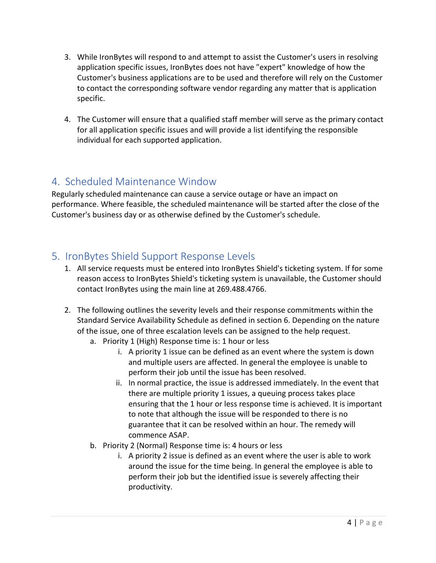- 3. While IronBytes will respond to and attempt to assist the Customer's users in resolving application specific issues, IronBytes does not have "expert" knowledge of how the Customer's business applications are to be used and therefore will rely on the Customer to contact the corresponding software vendor regarding any matter that is application specific.
- 4. The Customer will ensure that a qualified staff member will serve as the primary contact for all application specific issues and will provide a list identifying the responsible individual for each supported application.

# 4. Scheduled Maintenance Window

Regularly scheduled maintenance can cause a service outage or have an impact on performance. Where feasible, the scheduled maintenance will be started after the close of the Customer's business day or as otherwise defined by the Customer's schedule.

# 5. IronBytes Shield Support Response Levels

- 1. All service requests must be entered into IronBytes Shield's ticketing system. If for some reason access to IronBytes Shield's ticketing system is unavailable, the Customer should contact IronBytes using the main line at 269.488.4766.
- 2. The following outlines the severity levels and their response commitments within the Standard Service Availability Schedule as defined in section 6. Depending on the nature of the issue, one of three escalation levels can be assigned to the help request.
	- a. Priority 1 (High) Response time is: 1 hour or less
		- i. A priority 1 issue can be defined as an event where the system is down and multiple users are affected. In general the employee is unable to perform their job until the issue has been resolved.
		- ii. In normal practice, the issue is addressed immediately. In the event that there are multiple priority 1 issues, a queuing process takes place ensuring that the 1 hour or less response time is achieved. It is important to note that although the issue will be responded to there is no guarantee that it can be resolved within an hour. The remedy will commence ASAP.
	- b. Priority 2 (Normal) Response time is: 4 hours or less
		- i. A priority 2 issue is defined as an event where the user is able to work around the issue for the time being. In general the employee is able to perform their job but the identified issue is severely affecting their productivity.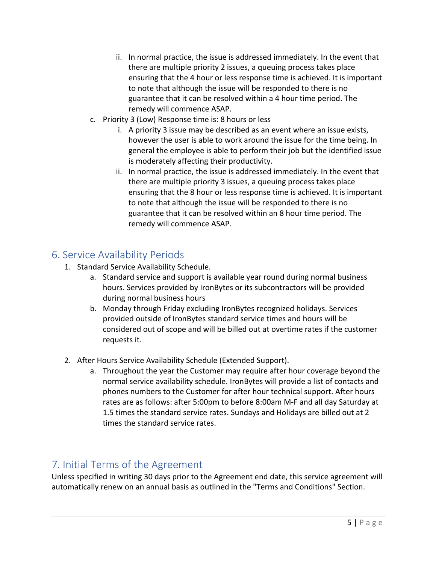- ii. In normal practice, the issue is addressed immediately. In the event that there are multiple priority 2 issues, a queuing process takes place ensuring that the 4 hour or less response time is achieved. It is important to note that although the issue will be responded to there is no guarantee that it can be resolved within a 4 hour time period. The remedy will commence ASAP.
- c. Priority 3 (Low) Response time is: 8 hours or less
	- i. A priority 3 issue may be described as an event where an issue exists, however the user is able to work around the issue for the time being. In general the employee is able to perform their job but the identified issue is moderately affecting their productivity.
	- ii. In normal practice, the issue is addressed immediately. In the event that there are multiple priority 3 issues, a queuing process takes place ensuring that the 8 hour or less response time is achieved. It is important to note that although the issue will be responded to there is no guarantee that it can be resolved within an 8 hour time period. The remedy will commence ASAP.

## 6. Service Availability Periods

- 1. Standard Service Availability Schedule.
	- a. Standard service and support is available year round during normal business hours. Services provided by IronBytes or its subcontractors will be provided during normal business hours
	- b. Monday through Friday excluding IronBytes recognized holidays. Services provided outside of IronBytes standard service times and hours will be considered out of scope and will be billed out at overtime rates if the customer requests it.
- 2. After Hours Service Availability Schedule (Extended Support).
	- a. Throughout the year the Customer may require after hour coverage beyond the normal service availability schedule. IronBytes will provide a list of contacts and phones numbers to the Customer for after hour technical support. After hours rates are as follows: after 5:00pm to before 8:00am M-F and all day Saturday at 1.5 times the standard service rates. Sundays and Holidays are billed out at 2 times the standard service rates.

# 7. Initial Terms of the Agreement

Unless specified in writing 30 days prior to the Agreement end date, this service agreement will automatically renew on an annual basis as outlined in the "Terms and Conditions" Section.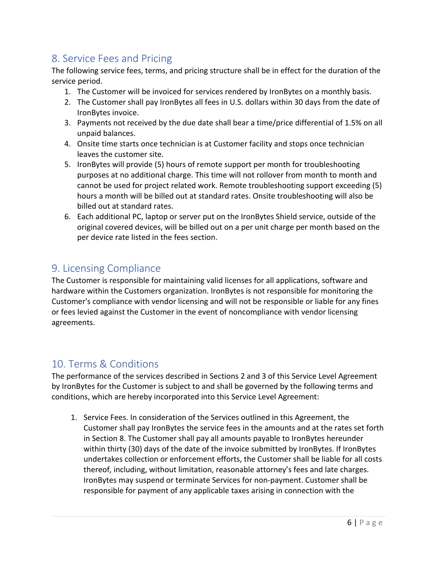# 8. Service Fees and Pricing

The following service fees, terms, and pricing structure shall be in effect for the duration of the service period.

- 1. The Customer will be invoiced for services rendered by IronBytes on a monthly basis.
- 2. The Customer shall pay IronBytes all fees in U.S. dollars within 30 days from the date of IronBytes invoice.
- 3. Payments not received by the due date shall bear a time/price differential of 1.5% on all unpaid balances.
- 4. Onsite time starts once technician is at Customer facility and stops once technician leaves the customer site.
- 5. IronBytes will provide (5) hours of remote support per month for troubleshooting purposes at no additional charge. This time will not rollover from month to month and cannot be used for project related work. Remote troubleshooting support exceeding (5) hours a month will be billed out at standard rates. Onsite troubleshooting will also be billed out at standard rates.
- 6. Each additional PC, laptop or server put on the IronBytes Shield service, outside of the original covered devices, will be billed out on a per unit charge per month based on the per device rate listed in the fees section.

# 9. Licensing Compliance

The Customer is responsible for maintaining valid licenses for all applications, software and hardware within the Customers organization. IronBytes is not responsible for monitoring the Customer's compliance with vendor licensing and will not be responsible or liable for any fines or fees levied against the Customer in the event of noncompliance with vendor licensing agreements.

# 10. Terms & Conditions

The performance of the services described in Sections 2 and 3 of this Service Level Agreement by IronBytes for the Customer is subject to and shall be governed by the following terms and conditions, which are hereby incorporated into this Service Level Agreement:

1. Service Fees. In consideration of the Services outlined in this Agreement, the Customer shall pay IronBytes the service fees in the amounts and at the rates set forth in Section 8. The Customer shall pay all amounts payable to IronBytes hereunder within thirty (30) days of the date of the invoice submitted by IronBytes. If IronBytes undertakes collection or enforcement efforts, the Customer shall be liable for all costs thereof, including, without limitation, reasonable attorney's fees and late charges. IronBytes may suspend or terminate Services for non-payment. Customer shall be responsible for payment of any applicable taxes arising in connection with the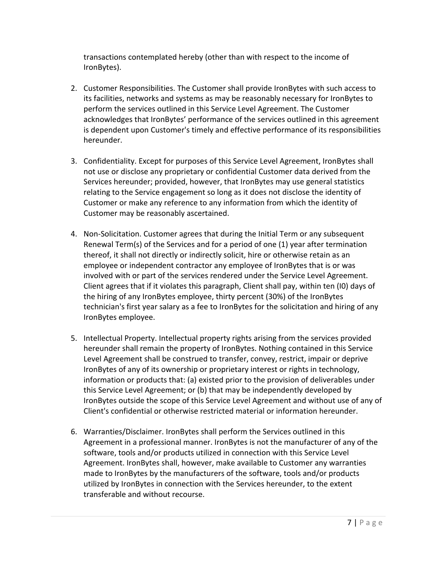transactions contemplated hereby (other than with respect to the income of IronBytes).

- 2. Customer Responsibilities. The Customer shall provide IronBytes with such access to its facilities, networks and systems as may be reasonably necessary for IronBytes to perform the services outlined in this Service Level Agreement. The Customer acknowledges that IronBytes' performance of the services outlined in this agreement is dependent upon Customer's timely and effective performance of its responsibilities hereunder.
- 3. Confidentiality. Except for purposes of this Service Level Agreement, IronBytes shall not use or disclose any proprietary or confidential Customer data derived from the Services hereunder; provided, however, that IronBytes may use general statistics relating to the Service engagement so long as it does not disclose the identity of Customer or make any reference to any information from which the identity of Customer may be reasonably ascertained.
- 4. Non-Solicitation. Customer agrees that during the Initial Term or any subsequent Renewal Term(s) of the Services and for a period of one (1) year after termination thereof, it shall not directly or indirectly solicit, hire or otherwise retain as an employee or independent contractor any employee of IronBytes that is or was involved with or part of the services rendered under the Service Level Agreement. Client agrees that if it violates this paragraph, Client shall pay, within ten (I0) days of the hiring of any IronBytes employee, thirty percent (30%) of the IronBytes technician's first year salary as a fee to IronBytes for the solicitation and hiring of any IronBytes employee.
- 5. Intellectual Property. Intellectual property rights arising from the services provided hereunder shall remain the property of IronBytes. Nothing contained in this Service Level Agreement shall be construed to transfer, convey, restrict, impair or deprive IronBytes of any of its ownership or proprietary interest or rights in technology, information or products that: (a) existed prior to the provision of deliverables under this Service Level Agreement; or (b) that may be independently developed by IronBytes outside the scope of this Service Level Agreement and without use of any of Client's confidential or otherwise restricted material or information hereunder.
- 6. Warranties/Disclaimer. IronBytes shall perform the Services outlined in this Agreement in a professional manner. IronBytes is not the manufacturer of any of the software, tools and/or products utilized in connection with this Service Level Agreement. IronBytes shall, however, make available to Customer any warranties made to IronBytes by the manufacturers of the software, tools and/or products utilized by IronBytes in connection with the Services hereunder, to the extent transferable and without recourse.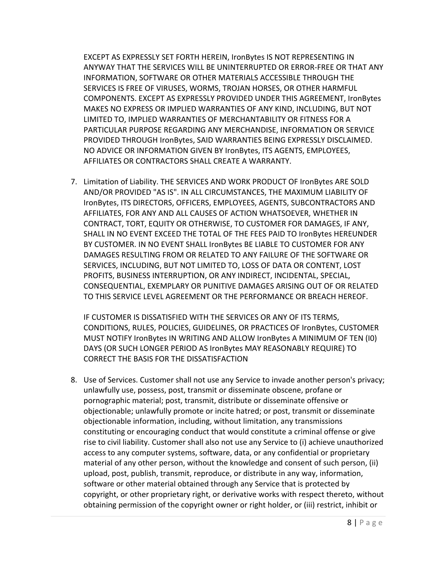EXCEPT AS EXPRESSLY SET FORTH HEREIN, IronBytes IS NOT REPRESENTING IN ANYWAY THAT THE SERVICES WILL BE UNINTERRUPTED OR ERROR-FREE OR THAT ANY INFORMATION, SOFTWARE OR OTHER MATERIALS ACCESSIBLE THROUGH THE SERVICES IS FREE OF VIRUSES, WORMS, TROJAN HORSES, OR OTHER HARMFUL COMPONENTS. EXCEPT AS EXPRESSLY PROVIDED UNDER THIS AGREEMENT, IronBytes MAKES NO EXPRESS OR IMPLIED WARRANTIES OF ANY KIND, INCLUDING, BUT NOT LIMITED TO, IMPLIED WARRANTIES OF MERCHANTABILITY OR FITNESS FOR A PARTICULAR PURPOSE REGARDING ANY MERCHANDISE, INFORMATION OR SERVICE PROVIDED THROUGH IronBytes, SAID WARRANTIES BEING EXPRESSLY DISCLAIMED. NO ADVICE OR INFORMATION GIVEN BY IronBytes, ITS AGENTS, EMPLOYEES, AFFILIATES OR CONTRACTORS SHALL CREATE A WARRANTY.

7. Limitation of Liability. THE SERVICES AND WORK PRODUCT OF IronBytes ARE SOLD AND/OR PROVIDED "AS IS". IN ALL CIRCUMSTANCES, THE MAXIMUM LIABILITY OF IronBytes, ITS DIRECTORS, OFFICERS, EMPLOYEES, AGENTS, SUBCONTRACTORS AND AFFILIATES, FOR ANY AND ALL CAUSES OF ACTION WHATSOEVER, WHETHER IN CONTRACT, TORT, EQUITY OR OTHERWISE, TO CUSTOMER FOR DAMAGES, IF ANY, SHALL IN NO EVENT EXCEED THE TOTAL OF THE FEES PAID TO IronBytes HEREUNDER BY CUSTOMER. IN NO EVENT SHALL IronBytes BE LIABLE TO CUSTOMER FOR ANY DAMAGES RESULTING FROM OR RELATED TO ANY FAILURE OF THE SOFTWARE OR SERVICES, INCLUDING, BUT NOT LIMITED TO, LOSS OF DATA OR CONTENT, LOST PROFITS, BUSINESS INTERRUPTION, OR ANY INDIRECT, INCIDENTAL, SPECIAL, CONSEQUENTIAL, EXEMPLARY OR PUNITIVE DAMAGES ARISING OUT OF OR RELATED TO THIS SERVICE LEVEL AGREEMENT OR THE PERFORMANCE OR BREACH HEREOF.

IF CUSTOMER IS DISSATISFIED WITH THE SERVICES OR ANY OF ITS TERMS, CONDITIONS, RULES, POLICIES, GUIDELINES, OR PRACTICES OF IronBytes, CUSTOMER MUST NOTIFY IronBytes IN WRITING AND ALLOW IronBytes A MINIMUM OF TEN (I0) DAYS (OR SUCH LONGER PERIOD AS IronBytes MAY REASONABLY REQUIRE) TO CORRECT THE BASIS FOR THE DISSATISFACTION

8. Use of Services. Customer shall not use any Service to invade another person's privacy; unlawfully use, possess, post, transmit or disseminate obscene, profane or pornographic material; post, transmit, distribute or disseminate offensive or objectionable; unlawfully promote or incite hatred; or post, transmit or disseminate objectionable information, including, without limitation, any transmissions constituting or encouraging conduct that would constitute a criminal offense or give rise to civil liability. Customer shall also not use any Service to (i) achieve unauthorized access to any computer systems, software, data, or any confidential or proprietary material of any other person, without the knowledge and consent of such person, (ii) upload, post, publish, transmit, reproduce, or distribute in any way, information, software or other material obtained through any Service that is protected by copyright, or other proprietary right, or derivative works with respect thereto, without obtaining permission of the copyright owner or right holder, or (iii) restrict, inhibit or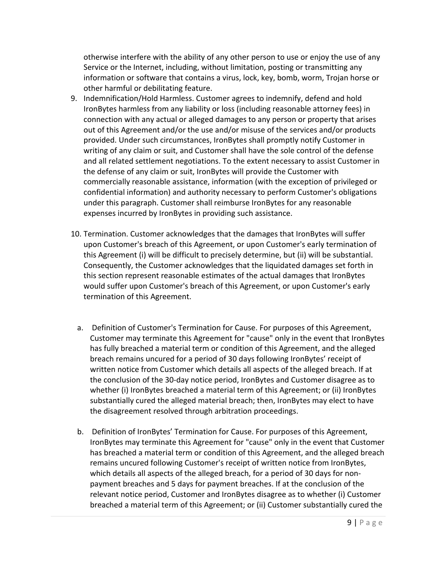otherwise interfere with the ability of any other person to use or enjoy the use of any Service or the Internet, including, without limitation, posting or transmitting any information or software that contains a virus, lock, key, bomb, worm, Trojan horse or other harmful or debilitating feature.

- 9. Indemnification/Hold Harmless. Customer agrees to indemnify, defend and hold IronBytes harmless from any liability or loss (including reasonable attorney fees) in connection with any actual or alleged damages to any person or property that arises out of this Agreement and/or the use and/or misuse of the services and/or products provided. Under such circumstances, IronBytes shall promptly notify Customer in writing of any claim or suit, and Customer shall have the sole control of the defense and all related settlement negotiations. To the extent necessary to assist Customer in the defense of any claim or suit, IronBytes will provide the Customer with commercially reasonable assistance, information (with the exception of privileged or confidential information) and authority necessary to perform Customer's obligations under this paragraph. Customer shall reimburse IronBytes for any reasonable expenses incurred by IronBytes in providing such assistance.
- 10. Termination. Customer acknowledges that the damages that IronBytes will suffer upon Customer's breach of this Agreement, or upon Customer's early termination of this Agreement (i) will be difficult to precisely determine, but (ii) will be substantial. Consequently, the Customer acknowledges that the liquidated damages set forth in this section represent reasonable estimates of the actual damages that IronBytes would suffer upon Customer's breach of this Agreement, or upon Customer's early termination of this Agreement.
	- a. Definition of Customer's Termination for Cause. For purposes of this Agreement, Customer may terminate this Agreement for "cause" only in the event that IronBytes has fully breached a material term or condition of this Agreement, and the alleged breach remains uncured for a period of 30 days following IronBytes' receipt of written notice from Customer which details all aspects of the alleged breach. If at the conclusion of the 30-day notice period, IronBytes and Customer disagree as to whether (i) IronBytes breached a material term of this Agreement; or (ii) IronBytes substantially cured the alleged material breach; then, IronBytes may elect to have the disagreement resolved through arbitration proceedings.
	- b. Definition of IronBytes' Termination for Cause. For purposes of this Agreement, IronBytes may terminate this Agreement for "cause" only in the event that Customer has breached a material term or condition of this Agreement, and the alleged breach remains uncured following Customer's receipt of written notice from IronBytes, which details all aspects of the alleged breach, for a period of 30 days for nonpayment breaches and 5 days for payment breaches. If at the conclusion of the relevant notice period, Customer and IronBytes disagree as to whether (i) Customer breached a material term of this Agreement; or (ii) Customer substantially cured the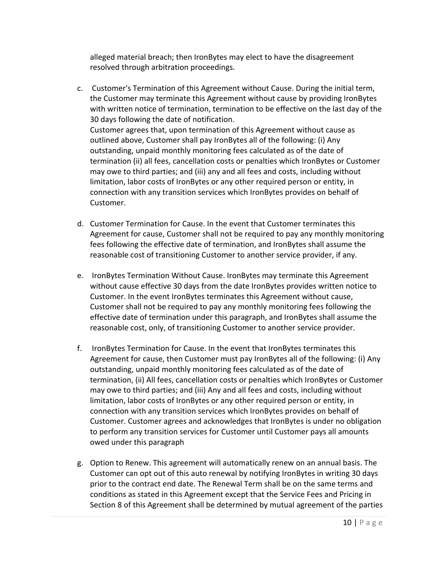alleged material breach; then IronBytes may elect to have the disagreement resolved through arbitration proceedings.

- c. Customer's Termination of this Agreement without Cause. During the initial term, the Customer may terminate this Agreement without cause by providing IronBytes with written notice of termination, termination to be effective on the last day of the 30 days following the date of notification. Customer agrees that, upon termination of this Agreement without cause as outlined above, Customer shall pay IronBytes all of the following: (i) Any outstanding, unpaid monthly monitoring fees calculated as of the date of termination (ii) all fees, cancellation costs or penalties which IronBytes or Customer may owe to third parties; and (iii) any and all fees and costs, including without limitation, labor costs of IronBytes or any other required person or entity, in connection with any transition services which IronBytes provides on behalf of Customer.
- d. Customer Termination for Cause. In the event that Customer terminates this Agreement for cause, Customer shall not be required to pay any monthly monitoring fees following the effective date of termination, and IronBytes shall assume the reasonable cost of transitioning Customer to another service provider, if any.
- e. IronBytes Termination Without Cause. IronBytes may terminate this Agreement without cause effective 30 days from the date IronBytes provides written notice to Customer. In the event IronBytes terminates this Agreement without cause, Customer shall not be required to pay any monthly monitoring fees following the effective date of termination under this paragraph, and IronBytes shall assume the reasonable cost, only, of transitioning Customer to another service provider.
- f. IronBytes Termination for Cause. In the event that IronBytes terminates this Agreement for cause, then Customer must pay IronBytes all of the following: (i) Any outstanding, unpaid monthly monitoring fees calculated as of the date of termination, (ii) All fees, cancellation costs or penalties which IronBytes or Customer may owe to third parties; and (iii) Any and all fees and costs, including without limitation, labor costs of IronBytes or any other required person or entity, in connection with any transition services which IronBytes provides on behalf of Customer. Customer agrees and acknowledges that IronBytes is under no obligation to perform any transition services for Customer until Customer pays all amounts owed under this paragraph
- g. Option to Renew. This agreement will automatically renew on an annual basis. The Customer can opt out of this auto renewal by notifying IronBytes in writing 30 days prior to the contract end date. The Renewal Term shall be on the same terms and conditions as stated in this Agreement except that the Service Fees and Pricing in Section 8 of this Agreement shall be determined by mutual agreement of the parties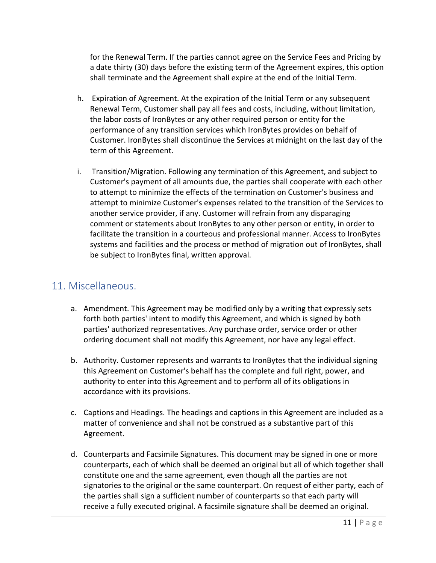for the Renewal Term. If the parties cannot agree on the Service Fees and Pricing by a date thirty (30) days before the existing term of the Agreement expires, this option shall terminate and the Agreement shall expire at the end of the Initial Term.

- h. Expiration of Agreement. At the expiration of the Initial Term or any subsequent Renewal Term, Customer shall pay all fees and costs, including, without limitation, the labor costs of IronBytes or any other required person or entity for the performance of any transition services which IronBytes provides on behalf of Customer. IronBytes shall discontinue the Services at midnight on the last day of the term of this Agreement.
- i. Transition/Migration. Following any termination of this Agreement, and subject to Customer's payment of all amounts due, the parties shall cooperate with each other to attempt to minimize the effects of the termination on Customer's business and attempt to minimize Customer's expenses related to the transition of the Services to another service provider, if any. Customer will refrain from any disparaging comment or statements about IronBytes to any other person or entity, in order to facilitate the transition in a courteous and professional manner. Access to IronBytes systems and facilities and the process or method of migration out of IronBytes, shall be subject to IronBytes final, written approval.

## 11. Miscellaneous.

- a. Amendment. This Agreement may be modified only by a writing that expressly sets forth both parties' intent to modify this Agreement, and which is signed by both parties' authorized representatives. Any purchase order, service order or other ordering document shall not modify this Agreement, nor have any legal effect.
- b. Authority. Customer represents and warrants to IronBytes that the individual signing this Agreement on Customer's behalf has the complete and full right, power, and authority to enter into this Agreement and to perform all of its obligations in accordance with its provisions.
- c. Captions and Headings. The headings and captions in this Agreement are included as a matter of convenience and shall not be construed as a substantive part of this Agreement.
- d. Counterparts and Facsimile Signatures. This document may be signed in one or more counterparts, each of which shall be deemed an original but all of which together shall constitute one and the same agreement, even though all the parties are not signatories to the original or the same counterpart. On request of either party, each of the parties shall sign a sufficient number of counterparts so that each party will receive a fully executed original. A facsimile signature shall be deemed an original.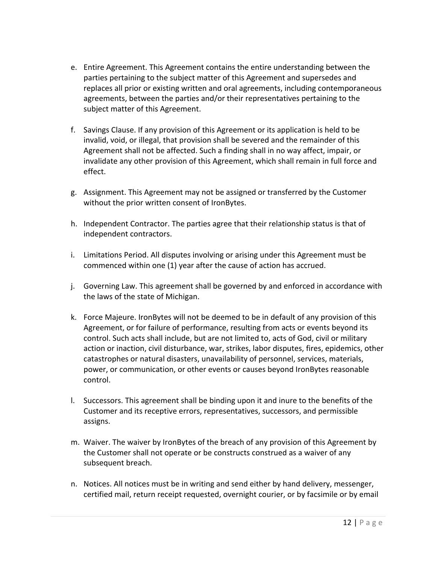- e. Entire Agreement. This Agreement contains the entire understanding between the parties pertaining to the subject matter of this Agreement and supersedes and replaces all prior or existing written and oral agreements, including contemporaneous agreements, between the parties and/or their representatives pertaining to the subject matter of this Agreement.
- f. Savings Clause. If any provision of this Agreement or its application is held to be invalid, void, or illegal, that provision shall be severed and the remainder of this Agreement shall not be affected. Such a finding shall in no way affect, impair, or invalidate any other provision of this Agreement, which shall remain in full force and effect.
- g. Assignment. This Agreement may not be assigned or transferred by the Customer without the prior written consent of IronBytes.
- h. Independent Contractor. The parties agree that their relationship status is that of independent contractors.
- i. Limitations Period. All disputes involving or arising under this Agreement must be commenced within one (1) year after the cause of action has accrued.
- j. Governing Law. This agreement shall be governed by and enforced in accordance with the laws of the state of Michigan.
- k. Force Majeure. IronBytes will not be deemed to be in default of any provision of this Agreement, or for failure of performance, resulting from acts or events beyond its control. Such acts shall include, but are not limited to, acts of God, civil or military action or inaction, civil disturbance, war, strikes, labor disputes, fires, epidemics, other catastrophes or natural disasters, unavailability of personnel, services, materials, power, or communication, or other events or causes beyond IronBytes reasonable control.
- l. Successors. This agreement shall be binding upon it and inure to the benefits of the Customer and its receptive errors, representatives, successors, and permissible assigns.
- m. Waiver. The waiver by IronBytes of the breach of any provision of this Agreement by the Customer shall not operate or be constructs construed as a waiver of any subsequent breach.
- n. Notices. All notices must be in writing and send either by hand delivery, messenger, certified mail, return receipt requested, overnight courier, or by facsimile or by email